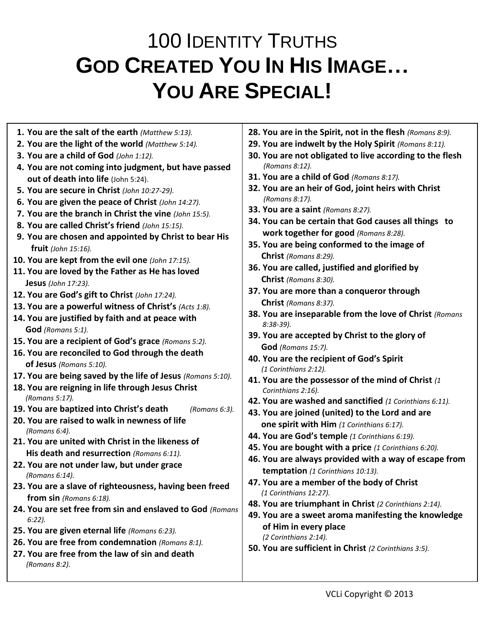## 100 IDENTITY TRUTHS **GOD CREATED YOU IN HIS IMAGE… YOU ARE SPECIAL!**

- **1. You are the salt of the earth** *(Matthew 5:13).*
- **2. You are the light of the world** *(Matthew 5:14).*
- **3. You are a child of God** *(John 1:12).*
- **4. You are not coming into judgment, but have passed out of death into life** (John 5:24).
- **5. You are secure in Christ** *(John 10:27-29).*
- **6. You are given the peace of Christ** *(John 14:27).*
- **7. You are the branch in Christ the vine** *(John 15:5).*
- **8. You are called Christ's friend** *(John 15:15).*
- **9. You are chosen and appointed by Christ to bear His fruit** *(John 15:16).*
- **10. You are kept from the evil one** *(John 17:15).*
- **11. You are loved by the Father as He has loved Jesus** *(John 17:23).*
- **12. You are God's gift to Christ** *(John 17:24).*
- **13. You are a powerful witness of Christ's** *(Acts 1:8).*
- **14. You are justified by faith and at peace with God** *(Romans 5:1).*
- **15. You are a recipient of God's grace** *(Romans 5:2).*
- **16. You are reconciled to God through the death of Jesus** *(Romans 5:10).*
- **17. You are being saved by the life of Jesus** *(Romans 5:10).*
- **18. You are reigning in life through Jesus Christ** *(Romans 5:17).*
- **19. You are baptized into Christ's death** *(Romans 6:3).*
- **20. You are raised to walk in newness of life** *(Romans 6:4).*
- **21. You are united with Christ in the likeness of His death and resurrection** *(Romans 6:11).*
- **22. You are not under law, but under grace** *(Romans 6:14).*
- **23. You are a slave of righteousness, having been freed from sin** *(Romans 6:18).*
- **24. You are set free from sin and enslaved to God** *(Romans 6:22).*
- **25. You are given eternal life** *(Romans 6:23).*
- **26. You are free from condemnation** *(Romans 8:1).*
- **27. You are free from the law of sin and death** *(Romans 8:2).*
- **28. You are in the Spirit, not in the flesh** *(Romans 8:9).*
- **29. You are indwelt by the Holy Spirit** *(Romans 8:11).*
- **30. You are not obligated to live according to the flesh** *(Romans 8:12).*
- **31. You are a child of God** *(Romans 8:17).*
- **32. You are an heir of God, joint heirs with Christ** *(Romans 8:17).*
- **33. You are a saint** *(Romans 8:27).*
- **34. You can be certain that God causes all things to work together for good** *(Romans 8:28).*
- **35. You are being conformed to the image of Christ** *(Romans 8:29).*
- **36. You are called, justified and glorified by Christ** *(Romans 8:30).*
- **37. You are more than a conqueror through Christ** *(Romans 8:37).*
- **38. You are inseparable from the love of Christ** *(Romans 8:38-39).*
- **39. You are accepted by Christ to the glory of God** *(Romans 15:7).*
- **40. You are the recipient of God's Spirit** *(1 Corinthians 2:12).*
- **41. You are the possessor of the mind of Christ** *(1 Corinthians 2:16).*
- **42. You are washed and sanctified** *(1 Corinthians 6:11).*
- **43. You are joined (united) to the Lord and are one spirit with Him** *(1 Corinthians 6:17).*
- **44. You are God's temple** *(1 Corinthians 6:19).*
- **45. You are bought with a price** *(1 Corinthians 6:20).*
- **46. You are always provided with a way of escape from temptation** *(1 Corinthians 10:13).*
- **47. You are a member of the body of Christ** *(1 Corinthians 12:27).*
- **48. You are triumphant in Christ** *(2 Corinthians 2:14).*
- **49. You are a sweet aroma manifesting the knowledge of Him in every place**  *(2 Corinthians 2:14).*
- **50. You are sufficient in Christ** *(2 Corinthians 3:5).*